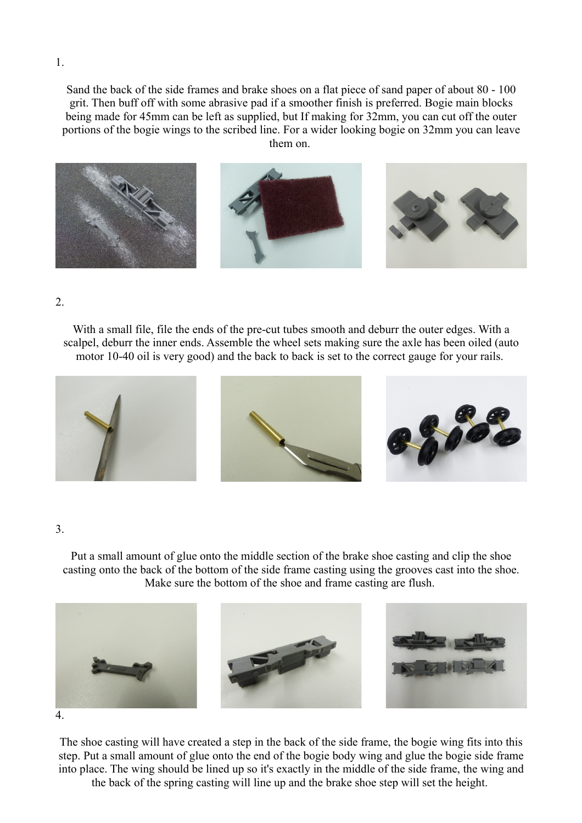Sand the back of the side frames and brake shoes on a flat piece of sand paper of about 80 - 100 grit. Then buff off with some abrasive pad if a smoother finish is preferred. Bogie main blocks being made for 45mm can be left as supplied, but If making for 32mm, you can cut off the outer portions of the bogie wings to the scribed line. For a wider looking bogie on 32mm you can leave them on.



2.

With a small file, file the ends of the pre-cut tubes smooth and deburr the outer edges. With a scalpel, deburr the inner ends. Assemble the wheel sets making sure the axle has been oiled (auto motor 10-40 oil is very good) and the back to back is set to the correct gauge for your rails.



## 3.

Put a small amount of glue onto the middle section of the brake shoe casting and clip the shoe casting onto the back of the bottom of the side frame casting using the grooves cast into the shoe. Make sure the bottom of the shoe and frame casting are flush.



The shoe casting will have created a step in the back of the side frame, the bogie wing fits into this step. Put a small amount of glue onto the end of the bogie body wing and glue the bogie side frame into place. The wing should be lined up so it's exactly in the middle of the side frame, the wing and the back of the spring casting will line up and the brake shoe step will set the height.